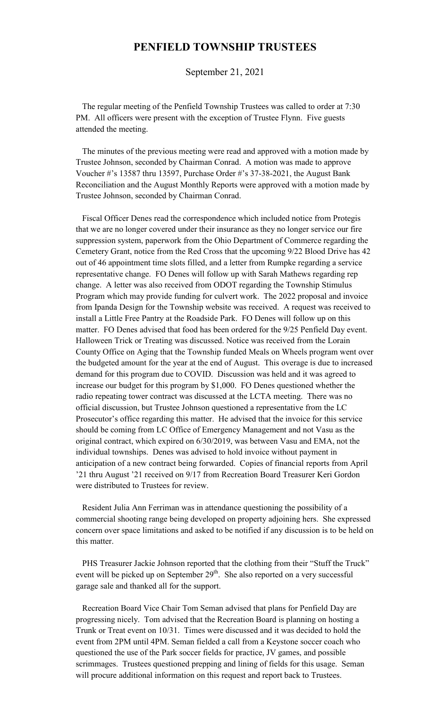## **PENFIELD TOWNSHIP TRUSTEES**

September 21, 2021

 The regular meeting of the Penfield Township Trustees was called to order at 7:30 PM. All officers were present with the exception of Trustee Flynn. Five guests attended the meeting.

 The minutes of the previous meeting were read and approved with a motion made by Trustee Johnson, seconded by Chairman Conrad. A motion was made to approve Voucher #'s 13587 thru 13597, Purchase Order #'s 37-38-2021, the August Bank Reconciliation and the August Monthly Reports were approved with a motion made by Trustee Johnson, seconded by Chairman Conrad.

 Fiscal Officer Denes read the correspondence which included notice from Protegis that we are no longer covered under their insurance as they no longer service our fire suppression system, paperwork from the Ohio Department of Commerce regarding the Cemetery Grant, notice from the Red Cross that the upcoming 9/22 Blood Drive has 42 out of 46 appointment time slots filled, and a letter from Rumpke regarding a service representative change. FO Denes will follow up with Sarah Mathews regarding rep change. A letter was also received from ODOT regarding the Township Stimulus Program which may provide funding for culvert work. The 2022 proposal and invoice from Ipanda Design for the Township website was received. A request was received to install a Little Free Pantry at the Roadside Park. FO Denes will follow up on this matter. FO Denes advised that food has been ordered for the 9/25 Penfield Day event. Halloween Trick or Treating was discussed. Notice was received from the Lorain County Office on Aging that the Township funded Meals on Wheels program went over the budgeted amount for the year at the end of August. This overage is due to increased demand for this program due to COVID. Discussion was held and it was agreed to increase our budget for this program by \$1,000. FO Denes questioned whether the radio repeating tower contract was discussed at the LCTA meeting. There was no official discussion, but Trustee Johnson questioned a representative from the LC Prosecutor's office regarding this matter. He advised that the invoice for this service should be coming from LC Office of Emergency Management and not Vasu as the original contract, which expired on 6/30/2019, was between Vasu and EMA, not the individual townships. Denes was advised to hold invoice without payment in anticipation of a new contract being forwarded. Copies of financial reports from April '21 thru August '21 received on 9/17 from Recreation Board Treasurer Keri Gordon were distributed to Trustees for review.

 Resident Julia Ann Ferriman was in attendance questioning the possibility of a commercial shooting range being developed on property adjoining hers. She expressed concern over space limitations and asked to be notified if any discussion is to be held on this matter.

 PHS Treasurer Jackie Johnson reported that the clothing from their "Stuff the Truck" event will be picked up on September  $29<sup>th</sup>$ . She also reported on a very successful garage sale and thanked all for the support.

 Recreation Board Vice Chair Tom Seman advised that plans for Penfield Day are progressing nicely. Tom advised that the Recreation Board is planning on hosting a Trunk or Treat event on 10/31. Times were discussed and it was decided to hold the event from 2PM until 4PM. Seman fielded a call from a Keystone soccer coach who questioned the use of the Park soccer fields for practice, JV games, and possible scrimmages. Trustees questioned prepping and lining of fields for this usage. Seman will procure additional information on this request and report back to Trustees.